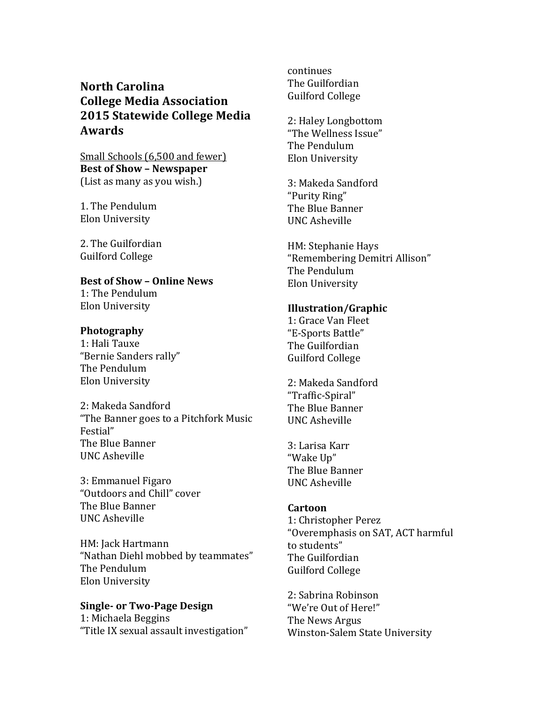# **North Carolina College Media Association 2015 Statewide College Media Awards**

Small Schools (6,500 and fewer) **Best of Show - Newspaper** (List as many as you wish.)

1. The Pendulum Elon University

2. The Guilfordian Guilford College

# **Best of Show – Online News**

1: The Pendulum Elon University

# **Photography**

1: Hali Tauxe "Bernie Sanders rally" The Pendulum Elon University

2: Makeda Sandford "The Banner goes to a Pitchfork Music Festial" The Blue Banner UNC Asheville

3: Emmanuel Figaro "Outdoors and Chill" cover The Blue Banner UNC Asheville

HM: Jack Hartmann "Nathan Diehl mobbed by teammates" The Pendulum Elon University

#### **Single- or Two-Page Design** 1: Michaela Beggins

"Title IX sexual assault investigation"

*continues* continues The Guilfordian Guilford College

> 2: Haley Longbottom "The Wellness Issue" The Pendulum Elon University

3: Makeda Sandford "Purity Ring" The Blue Banner UNC Asheville

HM: Stephanie Hays "Remembering Demitri Allison" The Pendulum Elon University

# **Illustration/Graphic**

1: Grace Van Fleet "E-Sports Battle" The Guilfordian Guilford College

2: Makeda Sandford "Traffic-Spiral" The Blue Banner UNC Asheville

3: Larisa Karr "Wake Up" The Blue Banner UNC Asheville

# **Cartoon**

1: Christopher Perez "Overemphasis on SAT, ACT harmful to students" The Guilfordian Guilford College

2: Sabrina Robinson "We're Out of Here!" The News Argus Winston-Salem State University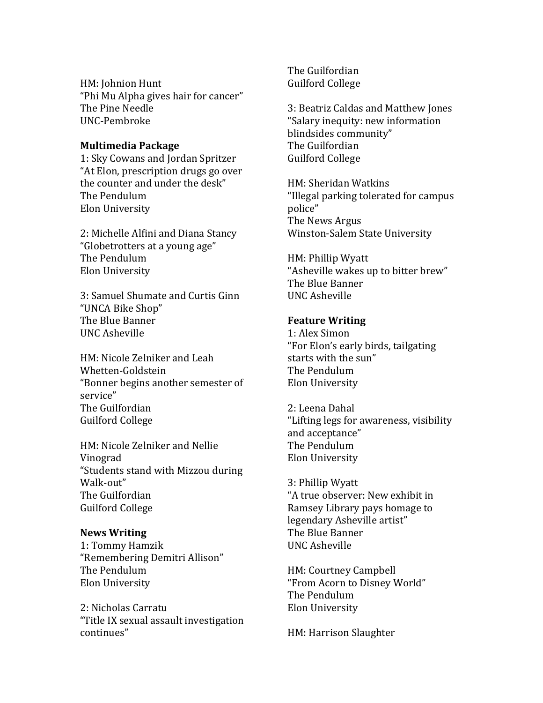HM: Johnion Hunt "Phi Mu Alpha gives hair for cancer" The Pine Needle UNC-Pembroke

### **Multimedia Package**

1: Sky Cowans and Jordan Spritzer "At Elon, prescription drugs go over the counter and under the desk" The Pendulum Elon University

2: Michelle Alfini and Diana Stancy "Globetrotters at a young age" The Pendulum Elon University

3: Samuel Shumate and Curtis Ginn "UNCA Bike Shop" The Blue Banner UNC Asheville

HM: Nicole Zelniker and Leah Whetten-Goldstein "Bonner begins another semester of service" The Guilfordian Guilford College

HM: Nicole Zelniker and Nellie Vinograd "Students stand with Mizzou during Walk-out" The Guilfordian Guilford College

#### **News Writing**

1: Tommy Hamzik "Remembering Demitri Allison" The Pendulum Elon University

2: Nicholas Carratu "Title IX sexual assault investigation continues"

The Guilfordian Guilford College

3: Beatriz Caldas and Matthew Jones "Salary inequity: new information blindsides community" The Guilfordian Guilford College

HM: Sheridan Watkins "Illegal parking tolerated for campus police" The News Argus Winston-Salem State University

HM: Phillip Wyatt "Asheville wakes up to bitter brew" The Blue Banner UNC Asheville

#### **Feature Writing**

1: Alex Simon "For Elon's early birds, tailgating starts with the sun" The Pendulum Elon University

2: Leena Dahal "Lifting legs for awareness, visibility and acceptance" The Pendulum Elon University

3: Phillip Wyatt "A true observer: New exhibit in Ramsey Library pays homage to legendary Asheville artist" The Blue Banner UNC Asheville

HM: Courtney Campbell "From Acorn to Disney World" The Pendulum Elon University

HM: Harrison Slaughter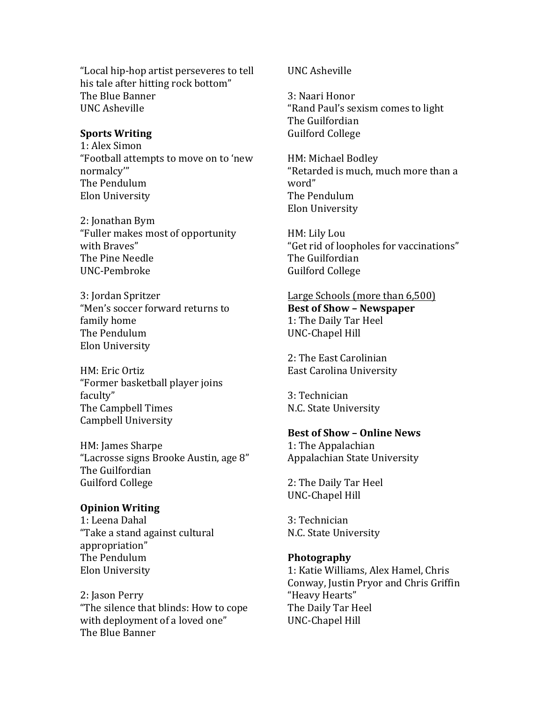"Local hip-hop artist perseveres to tell his tale after hitting rock bottom" The Blue Banner UNC Asheville

#### **Sports Writing**

1: Alex Simon "Football attempts to move on to 'new normalcy'" The Pendulum Elon University

2: Jonathan Bym "Fuller makes most of opportunity with Braves" The Pine Needle UNC-Pembroke

3: Jordan Spritzer "Men's soccer forward returns to family home The Pendulum Elon University

HM: Eric Ortiz "Former basketball player joins faculty" The Campbell Times Campbell University

HM: James Sharpe "Lacrosse signs Brooke Austin, age 8" The Guilfordian Guilford College

#### **Opinion Writing**

1: Leena Dahal "Take a stand against cultural appropriation" The Pendulum Elon University

2: Jason Perry "The silence that blinds: How to cope with deployment of a loved one" The Blue Banner

UNC Asheville

3: Naari Honor "Rand Paul's sexism comes to light The Guilfordian Guilford College

HM: Michael Bodley "Retarded is much, much more than a word" The Pendulum Elon University

HM: Lily Lou "Get rid of loopholes for vaccinations" The Guilfordian Guilford College

# Large Schools (more than 6,500) **Best of Show - Newspaper** 1: The Daily Tar Heel UNC-Chapel Hill

2: The East Carolinian East Carolina University

3: Technician N.C. State University

#### **Best of Show - Online News**

1: The Appalachian Appalachian State University

2: The Daily Tar Heel UNC-Chapel Hill

3: Technician N.C. State University

#### **Photography**

1: Katie Williams, Alex Hamel, Chris Conway, Justin Pryor and Chris Griffin "Heavy Hearts" The Daily Tar Heel UNC-Chapel Hill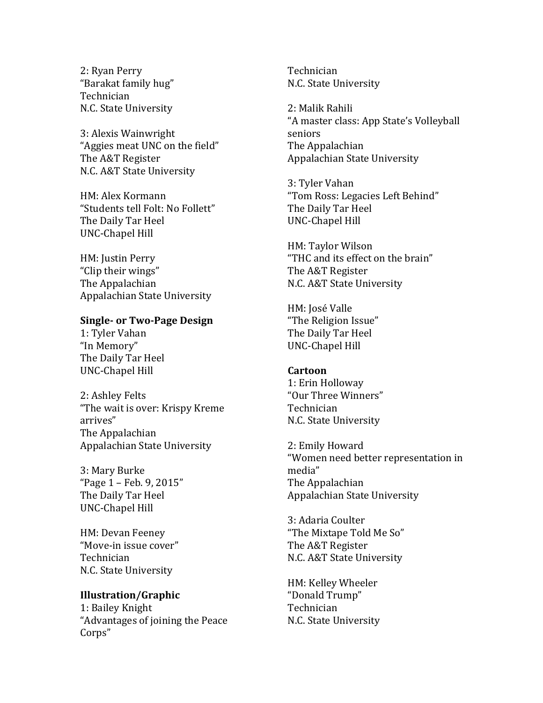2: Ryan Perry "Barakat family hug" Technician N.C. State University

3: Alexis Wainwright "Aggies meat UNC on the field" The A&T Register N.C. A&T State University

HM: Alex Kormann "Students tell Folt: No Follett" The Daily Tar Heel UNC-Chapel Hill

HM: Justin Perry "Clip their wings" The Appalachian Appalachian State University

### **Single- or Two-Page Design**

1: Tyler Vahan "In Memory" The Daily Tar Heel UNC-Chapel Hill

2: Ashley Felts "The wait is over: Krispy Kreme arrives" The Appalachian Appalachian State University

3: Mary Burke "Page  $1 -$  Feb. 9, 2015" The Daily Tar Heel UNC-Chapel Hill

HM: Devan Feeney "Move-in issue cover" Technician N.C. State University

#### **Illustration/Graphic**

1: Bailey Knight "Advantages of joining the Peace" Corps"

Technician N.C. State University

2: Malik Rahili "A master class: App State's Volleyball seniors The Appalachian Appalachian State University

3: Tyler Vahan "Tom Ross: Legacies Left Behind" The Daily Tar Heel UNC-Chapel Hill

HM: Taylor Wilson "THC and its effect on the brain" The A&T Register N.C. A&T State University

HM: José Valle "The Religion Issue" The Daily Tar Heel UNC-Chapel Hill

#### **Cartoon**

1: Erin Holloway "Our Three Winners" Technician N.C. State University

2: Emily Howard "Women need better representation in media" The Appalachian Appalachian State University

3: Adaria Coulter "The Mixtape Told Me So" The A&T Register N.C. A&T State University

HM: Kelley Wheeler "Donald Trump" Technician N.C. State University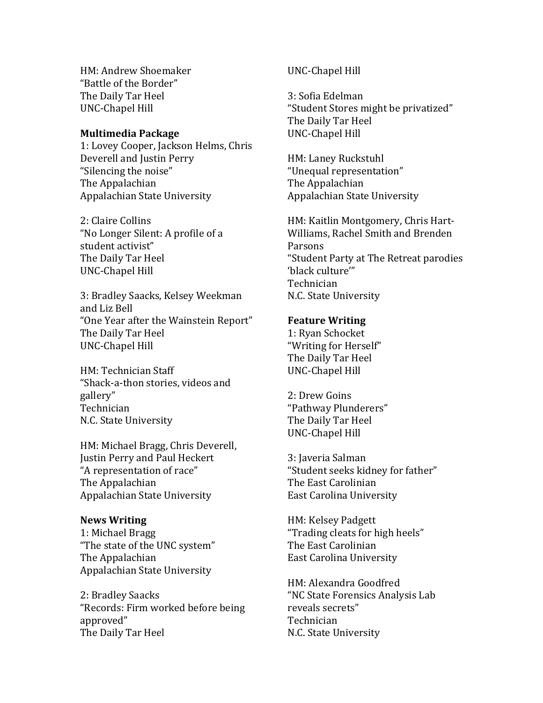HM: Andrew Shoemaker "Battle of the Border" The Daily Tar Heel UNC-Chapel Hill

#### **Multimedia Package**

1: Lovey Cooper, Jackson Helms, Chris Deverell and Justin Perry "Silencing the noise" The Appalachian Appalachian State University

2: Claire Collins "No Longer Silent: A profile of a student activist" The Daily Tar Heel UNC-Chapel Hill

3: Bradley Saacks, Kelsey Weekman and Liz Bell "One Year after the Wainstein Report" The Daily Tar Heel UNC-Chapel Hill

HM: Technician Staff "Shack-a-thon stories, videos and gallery" Technician N.C. State University

HM: Michael Bragg, Chris Deverell, Justin Perry and Paul Heckert "A representation of race" The Appalachian Appalachian State University

#### **News Writing**

1: Michael Bragg "The state of the UNC system" The Appalachian Appalachian State University

2: Bradley Saacks "Records: Firm worked before being approved" The Daily Tar Heel

# UNC-Chapel Hill

3: Sofia Edelman "Student Stores might be privatized" The Daily Tar Heel UNC-Chapel Hill

HM: Laney Ruckstuhl "Unequal representation" The Appalachian Appalachian State University

HM: Kaitlin Montgomery, Chris Hart-Williams, Rachel Smith and Brenden Parsons "Student Party at The Retreat parodies 'black culture'" Technician N.C. State University

#### **Feature Writing**

1: Ryan Schocket "Writing for Herself" The Daily Tar Heel UNC-Chapel Hill

2: Drew Goins "Pathway Plunderers" The Daily Tar Heel UNC-Chapel Hill

3: Javeria Salman "Student seeks kidney for father" The East Carolinian East Carolina University

HM: Kelsey Padgett "Trading cleats for high heels" The East Carolinian East Carolina University

HM: Alexandra Goodfred "NC State Forensics Analysis Lab reveals secrets" Technician N.C. State University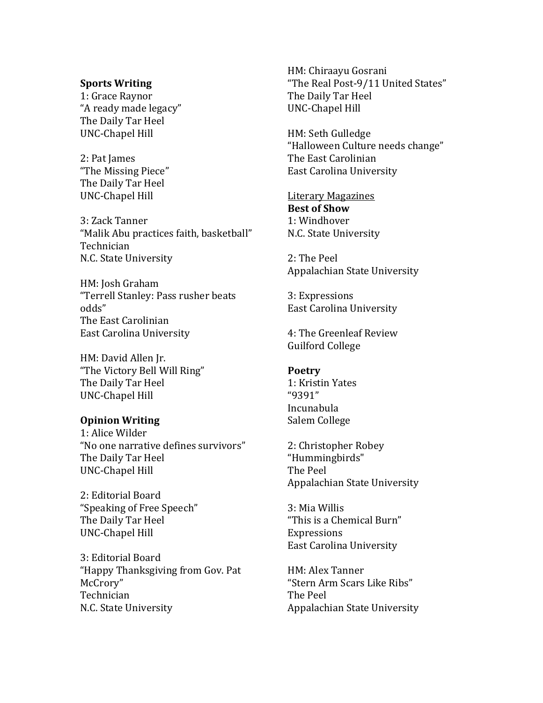## **Sports Writing**

1: Grace Raynor "A ready made legacy" The Daily Tar Heel UNC-Chapel Hill

2: Pat James "The Missing Piece" The Daily Tar Heel UNC-Chapel Hill

3: Zack Tanner "Malik Abu practices faith, basketball" Technician N.C. State University

HM: Josh Graham "Terrell Stanley: Pass rusher beats odds" The East Carolinian East Carolina University

HM: David Allen Jr. "The Victory Bell Will Ring" The Daily Tar Heel UNC-Chapel Hill

## **Opinion Writing**

1: Alice Wilder "No one narrative defines survivors" The Daily Tar Heel UNC-Chapel Hill

2: Editorial Board "Speaking of Free Speech" The Daily Tar Heel UNC-Chapel Hill

3: Editorial Board "Happy Thanksgiving from Gov. Pat McCrory" Technician N.C. State University

HM: Chiraayu Gosrani "The Real Post-9/11 United States" The Daily Tar Heel UNC-Chapel Hill

HM: Seth Gulledge "Halloween Culture needs change" The East Carolinian East Carolina University

Literary Magazines **Best of Show** 1: Windhover N.C. State University

2: The Peel Appalachian State University

3: Expressions East Carolina University

4: The Greenleaf Review Guilford College

## **Poetry**

1: Kristin Yates "9391" Incunabula Salem College

2: Christopher Robey "Hummingbirds" The Peel Appalachian State University

3: Mia Willis "This is a Chemical Burn" Expressions East Carolina University

HM: Alex Tanner "Stern Arm Scars Like Ribs" The Peel Appalachian State University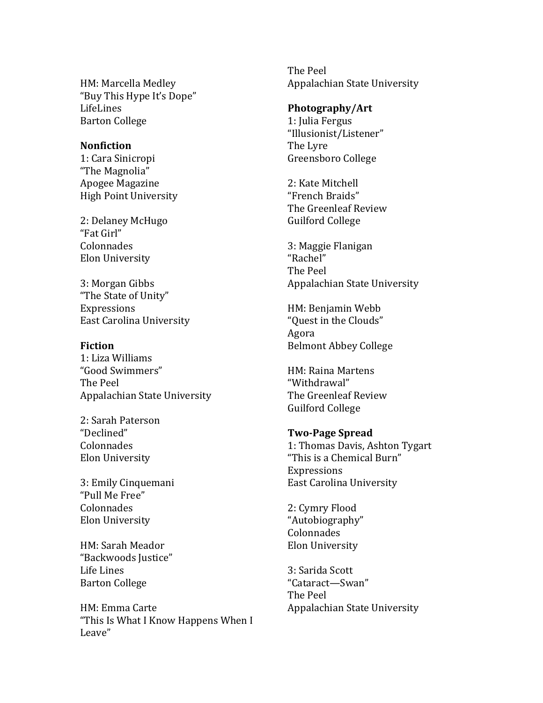HM: Marcella Medley "Buy This Hype It's Dope" LifeLines Barton College

#### **Nonfiction**

1: Cara Sinicropi "The Magnolia" Apogee Magazine High Point University

2: Delaney McHugo "Fat Girl" Colonnades Elon University

3: Morgan Gibbs "The State of Unity" Expressions East Carolina University

#### **Fiction**

1: Liza Williams "Good Swimmers" The Peel Appalachian State University

2: Sarah Paterson "Declined" Colonnades Elon University

3: Emily Cinquemani "Pull Me Free" Colonnades Elon University

HM: Sarah Meador "Backwoods Justice" Life Lines Barton College

HM: Emma Carte "This Is What I Know Happens When I Leave"

The Peel Appalachian State University

#### **Photography/Art**

1: Julia Fergus "Illusionist/Listener" The Lyre Greensboro College

2: Kate Mitchell "French Braids" The Greenleaf Review Guilford College

3: Maggie Flanigan "Rachel" The Peel Appalachian State University

HM: Benjamin Webb "Quest in the Clouds" Agora Belmont Abbey College

HM: Raina Martens "Withdrawal" The Greenleaf Review Guilford College

#### **Two-Page Spread**

1: Thomas Davis, Ashton Tygart "This is a Chemical Burn" Expressions East Carolina University

2: Cymry Flood "Autobiography" Colonnades Elon University

3: Sarida Scott "Cataract—Swan" The Peel Appalachian State University